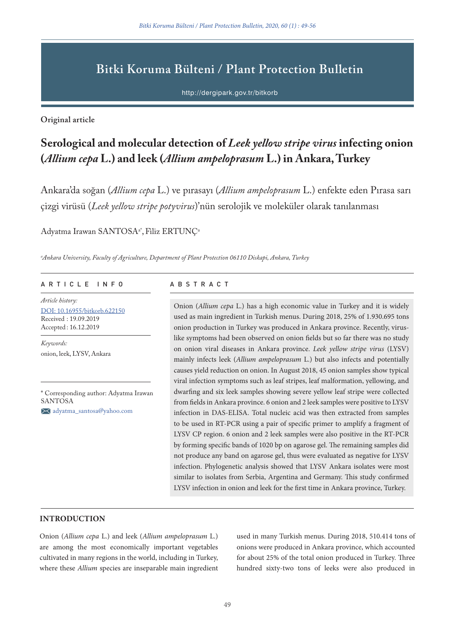# **Bitki Koruma Bülteni / Plant Protection Bulletin**

http://dergipark.gov.tr/bitkorb

**Original article**

# **Serological and molecular detection of** *Leek yellow stripe virus* **infecting onion (***Allium cepa* **L.) and leek (***Allium ampeloprasum* **L.) in Ankara, Turkey**

Ankara'da soğan (*Allium cepa* L.) ve pırasayı (*Allium ampeloprasum* L.) enfekte eden Pırasa sarı çizgi virüsü (*Leek yellow stripe potyvirus*)'nün serolojik ve moleküler olarak tanılanması

Adyatma Irawan SANTOSA<sup>a\*</sup>, Filiz ERTUNÇ<sup>a</sup>

*a Ankara University, Faculty of Agriculture, Department of Plant Protection 06110 Diskapi, Ankara, Turkey*

### ARTICLE INFO ABSTRACT

*Article history:* DOI: 10.16955/bitkorb.622150 Received : 19.09.2019 Accepted : 16.12.2019

*Keywords:* onion, leek, LYSV, Ankara

\* Corresponding author: Adyatma Irawan SANTOSA

adyatma\_santosa@yahoo.com

Onion (*Allium cepa* L.) has a high economic value in Turkey and it is widely used as main ingredient in Turkish menus. During 2018, 25% of 1.930.695 tons onion production in Turkey was produced in Ankara province. Recently, viruslike symptoms had been observed on onion fields but so far there was no study on onion viral diseases in Ankara province. *Leek yellow stripe virus* (LYSV) mainly infects leek (*Allium ampeloprasum* L.) but also infects and potentially causes yield reduction on onion. In August 2018, 45 onion samples show typical viral infection symptoms such as leaf stripes, leaf malformation, yellowing, and dwarfing and six leek samples showing severe yellow leaf stripe were collected from fields in Ankara province. 6 onion and 2 leek samples were positive to LYSV infection in DAS-ELISA. Total nucleic acid was then extracted from samples to be used in RT-PCR using a pair of specific primer to amplify a fragment of LYSV CP region. 6 onion and 2 leek samples were also positive in the RT-PCR by forming specific bands of 1020 bp on agarose gel. The remaining samples did not produce any band on agarose gel, thus were evaluated as negative for LYSV infection. Phylogenetic analysis showed that LYSV Ankara isolates were most similar to isolates from Serbia, Argentina and Germany. This study confirmed LYSV infection in onion and leek for the first time in Ankara province, Turkey.

## **INTRODUCTION**

Onion (*Allium cepa* L.) and leek (*Allium ampeloprasum* L.) are among the most economically important vegetables cultivated in many regions in the world, including in Turkey, where these *Allium* species are inseparable main ingredient

used in many Turkish menus. During 2018, 510.414 tons of onions were produced in Ankara province, which accounted for about 25% of the total onion produced in Turkey. Three hundred sixty-two tons of leeks were also produced in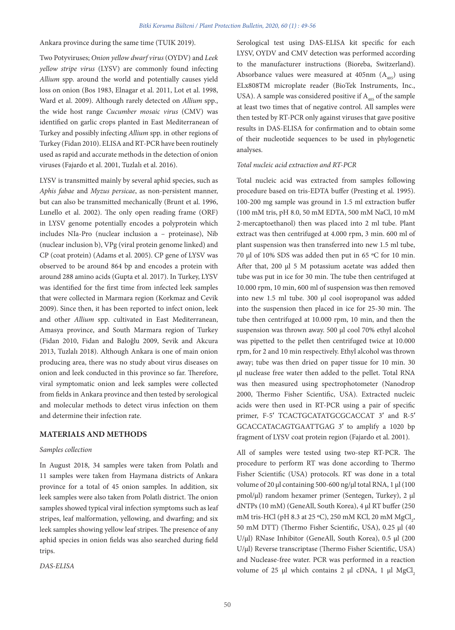Ankara province during the same time (TUIK 2019).

Two Potyviruses; *Onion yellow dwarf virus* (OYDV) and *Leek yellow stripe virus* (LYSV) are commonly found infecting *Allium* spp. around the world and potentially causes yield loss on onion (Bos 1983, Elnagar et al. 2011, Lot et al. 1998, Ward et al. 2009). Although rarely detected on *Allium* spp., the wide host range *Cucumber mosaic virus* (CMV) was identified on garlic crops planted in East Mediterranean of Turkey and possibly infecting *Allium* spp. in other regions of Turkey (Fidan 2010). ELISA and RT-PCR have been routinely used as rapid and accurate methods in the detection of onion viruses (Fajardo et al. 2001, Tuzlalı et al. 2016).

LYSV is transmitted mainly by several aphid species, such as *Aphis fabae* and *Myzus persicae*, as non-persistent manner, but can also be transmitted mechanically (Brunt et al. 1996, Lunello et al. 2002). The only open reading frame (ORF) in LYSV genome potentially encodes a polyprotein which includes NIa-Pro (nuclear inclusion a – proteinase), Nib (nuclear inclusion b), VPg (viral protein genome linked) and CP (coat protein) (Adams et al. 2005). CP gene of LYSV was observed to be around 864 bp and encodes a protein with around 288 amino acids (Gupta et al. 2017). In Turkey, LYSV was identified for the first time from infected leek samples that were collected in Marmara region (Korkmaz and Cevik 2009). Since then, it has been reported to infect onion, leek and other *Allium* spp. cultivated in East Mediterranean, Amasya province, and South Marmara region of Turkey (Fidan 2010, Fidan and Baloğlu 2009, Sevik and Akcura 2013, Tuzlalı 2018). Although Ankara is one of main onion producing area, there was no study about virus diseases on onion and leek conducted in this province so far. Therefore, viral symptomatic onion and leek samples were collected from fields in Ankara province and then tested by serological and molecular methods to detect virus infection on them and determine their infection rate.

## **MATERIALS AND METHODS**

#### *Samples collection*

In August 2018, 34 samples were taken from Polatlı and 11 samples were taken from Haymana districts of Ankara province for a total of 45 onion samples. In addition, six leek samples were also taken from Polatlı district. The onion samples showed typical viral infection symptoms such as leaf stripes, leaf malformation, yellowing, and dwarfing; and six leek samples showing yellow leaf stripes. The presence of any aphid species in onion fields was also searched during field trips.

*DAS-ELISA*

Serological test using DAS-ELISA kit specific for each LYSV, OYDV and CMV detection was performed according to the manufacturer instructions (Bioreba, Switzerland). Absorbance values were measured at 405nm  $(A_{\text{net}})$  using ELx808TM microplate reader (BioTek Instruments, Inc., USA). A sample was considered positive if  $A_{405}$  of the sample at least two times that of negative control. All samples were then tested by RT-PCR only against viruses that gave positive results in DAS-ELISA for confirmation and to obtain some of their nucleotide sequences to be used in phylogenetic analyses.

#### *Total nucleic acid extraction and RT-PCR*

Total nucleic acid was extracted from samples following procedure based on tris-EDTA buffer (Presting et al. 1995). 100-200 mg sample was ground in 1.5 ml extraction buffer (100 mM tris, pH 8.0, 50 mM EDTA, 500 mM NaCl, 10 mM 2-mercaptoethanol) then was placed into 2 ml tube. Plant extract was then centrifuged at 4.000 rpm, 3 min. 600 ml of plant suspension was then transferred into new 1.5 ml tube, 70 μl of 10% SDS was added then put in 65 ºC for 10 min. After that, 200 μl 5 M potassium acetate was added then tube was put in ice for 30 min. The tube then centrifuged at 10.000 rpm, 10 min, 600 ml of suspension was then removed into new 1.5 ml tube. 300 μl cool isopropanol was added into the suspension then placed in ice for 25-30 min. The tube then centrifuged at 10.000 rpm, 10 min, and then the suspension was thrown away. 500 μl cool 70% ethyl alcohol was pipetted to the pellet then centrifuged twice at 10.000 rpm, for 2 and 10 min respectively. Ethyl alcohol was thrown away; tube was then dried on paper tissue for 10 min. 30 μl nuclease free water then added to the pellet. Total RNA was then measured using spectrophotometer (Nanodrop 2000, Thermo Fisher Scientific, USA). Extracted nucleic acids were then used in RT-PCR using a pair of specific primer, F-5′ TCACTGCATATGCGCACCAT 3′ and R-5′ GCACCATACAGTGAATTGAG 3′ to amplify a 1020 bp fragment of LYSV coat protein region (Fajardo et al. 2001).

All of samples were tested using two-step RT-PCR. The procedure to perform RT was done according to Thermo Fisher Scientific (USA) protocols. RT was done in a total volume of 20 μl containing 500-600 ng/μl total RNA, 1 μl (100 pmol/μl) random hexamer primer (Sentegen, Turkey), 2 μl dNTPs (10 mM) (GeneAll, South Korea), 4 μl RT buffer (250 mM tris-HCl (pH 8.3 at 25 °C), 250 mM KCl, 20 mM  $MgCl<sub>2</sub>$ , 50 mM DTT) (Thermo Fisher Scientific, USA), 0.25 μl (40 U/μl) RNase Inhibitor (GeneAll, South Korea), 0.5 μl (200 U/μl) Reverse transcriptase (Thermo Fisher Scientific, USA) and Nuclease-free water. PCR was performed in a reaction volume of 25 μl which contains 2 μl cDNA, 1 μl MgCl<sub>2</sub>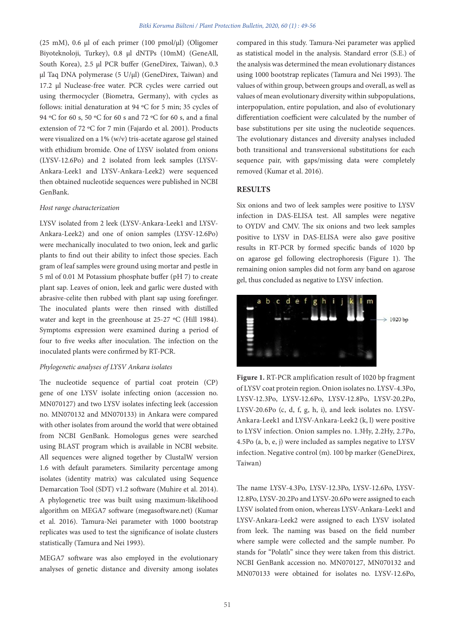(25 mM), 0.6 μl of each primer (100 pmol/μl) (Oligomer Biyoteknoloji, Turkey), 0.8 μl dNTPs (10mM) (GeneAll, South Korea), 2.5 μl PCR buffer (GeneDirex, Taiwan), 0.3 μl Taq DNA polymerase (5 U/μl) (GeneDirex, Taiwan) and 17.2 μl Nuclease-free water. PCR cycles were carried out using thermocycler (Biometra, Germany), with cycles as follows: initial denaturation at 94 ºC for 5 min; 35 cycles of 94 ºC for 60 s, 50 ºC for 60 s and 72 ºC for 60 s, and a final extension of 72 ºC for 7 min (Fajardo et al. 2001). Products were visualized on a 1% (w/v) tris-acetate agarose gel stained with ethidium bromide. One of LYSV isolated from onions (LYSV-12.6Po) and 2 isolated from leek samples (LYSV-Ankara-Leek1 and LYSV-Ankara-Leek2) were sequenced then obtained nucleotide sequences were published in NCBI GenBank.

#### *Host range characterization*

LYSV isolated from 2 leek (LYSV-Ankara-Leek1 and LYSV-Ankara-Leek2) and one of onion samples (LYSV-12.6Po) were mechanically inoculated to two onion, leek and garlic plants to find out their ability to infect those species. Each gram of leaf samples were ground using mortar and pestle in 5 ml of 0.01 M Potassium phosphate buffer (pH 7) to create plant sap. Leaves of onion, leek and garlic were dusted with abrasive-celite then rubbed with plant sap using forefinger. The inoculated plants were then rinsed with distilled water and kept in the greenhouse at 25-27 ºC (Hill 1984). Symptoms expression were examined during a period of four to five weeks after inoculation. The infection on the inoculated plants were confirmed by RT-PCR.

#### *Phylogenetic analyses of LYSV Ankara isolates*

The nucleotide sequence of partial coat protein (CP) gene of one LYSV isolate infecting onion (accession no. MN070127) and two LYSV isolates infecting leek (accession no. MN070132 and MN070133) in Ankara were compared with other isolates from around the world that were obtained from NCBI GenBank. Homologus genes were searched using BLAST program which is available in NCBI website. All sequences were aligned together by ClustalW version 1.6 with default parameters. Similarity percentage among isolates (identity matrix) was calculated using Sequence Demarcation Tool (SDT) v1.2 software (Muhire et al. 2014). A phylogenetic tree was built using maximum-likelihood algorithm on MEGA7 software (megasoftware.net) (Kumar et al. 2016). Tamura-Nei parameter with 1000 bootstrap replicates was used to test the significance of isolate clusters statistically (Tamura and Nei 1993).

MEGA7 software was also employed in the evolutionary analyses of genetic distance and diversity among isolates

compared in this study. Tamura-Nei parameter was applied as statistical model in the analysis. Standard error (S.E.) of the analysis was determined the mean evolutionary distances using 1000 bootstrap replicates (Tamura and Nei 1993). The values of within group, between groups and overall, as well as values of mean evolutionary diversity within subpopulations, interpopulation, entire population, and also of evolutionary differentiation coefficient were calculated by the number of base substitutions per site using the nucleotide sequences. The evolutionary distances and diversity analyses included both transitional and transversional substitutions for each sequence pair, with gaps/missing data were completely removed (Kumar et al. 2016).

### **RESULTS**

Six onions and two of leek samples were positive to LYSV infection in DAS-ELISA test. All samples were negative to OYDV and CMV. The six onions and two leek samples positive to LYSV in DAS-ELISA were also gave positive results in RT-PCR by formed specific bands of 1020 bp on agarose gel following electrophoresis (Figure 1). The remaining onion samples did not form any band on agarose gel, thus concluded as negative to LYSV infection.



**Figure 1.** RT-PCR amplification result of 1020 bp fragment of LYSV coat protein region. Onion isolates no. LYSV-4.3Po, LYSV-12.3Po, LYSV-12.6Po, LYSV-12.8Po, LYSV-20.2Po, LYSV-20.6Po (c, d, f, g, h, i), and leek isolates no. LYSV-Ankara-Leek1 and LYSV-Ankara-Leek2 (k, l) were positive to LYSV infection. Onion samples no. 1.3Hy, 2.2Hy, 2.7Po, 4.5Po (a, b, e, j) were included as samples negative to LYSV infection. Negative control (m). 100 bp marker (GeneDirex, Taiwan)

The name LYSV-4.3Po, LYSV-12.3Po, LYSV-12.6Po, LYSV-12.8Po, LYSV-20.2Po and LYSV-20.6Po were assigned to each LYSV isolated from onion, whereas LYSV-Ankara-Leek1 and LYSV-Ankara-Leek2 were assigned to each LYSV isolated from leek. The naming was based on the field number where sample were collected and the sample number. Po stands for "Polatlı" since they were taken from this district. NCBI GenBank accession no. MN070127, MN070132 and MN070133 were obtained for isolates no. LYSV-12.6Po,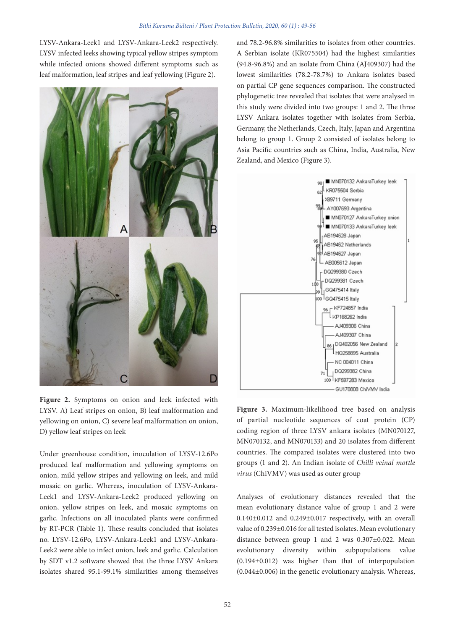LYSV-Ankara-Leek1 and LYSV-Ankara-Leek2 respectively. LYSV infected leeks showing typical yellow stripes symptom while infected onions showed different symptoms such as leaf malformation, leaf stripes and leaf yellowing (Figure 2).



**Figure 2.** Symptoms on onion and leek infected with LYSV. A) Leaf stripes on onion, B) leaf malformation and yellowing on onion, C) severe leaf malformation on onion, D) yellow leaf stripes on leek

Under greenhouse condition, inoculation of LYSV-12.6Po produced leaf malformation and yellowing symptoms on onion, mild yellow stripes and yellowing on leek, and mild mosaic on garlic. Whereas, inoculation of LYSV-Ankara-Leek1 and LYSV-Ankara-Leek2 produced yellowing on onion, yellow stripes on leek, and mosaic symptoms on garlic. Infections on all inoculated plants were confirmed by RT-PCR (Table 1). These results concluded that isolates no. LYSV-12.6Po, LYSV-Ankara-Leek1 and LYSV-Ankara-Leek2 were able to infect onion, leek and garlic. Calculation by SDT v1.2 software showed that the three LYSV Ankara isolates shared 95.1-99.1% similarities among themselves and 78.2-96.8% similarities to isolates from other countries. A Serbian isolate (KR075504) had the highest similarities (94.8-96.8%) and an isolate from China (AJ409307) had the lowest similarities (78.2-78.7%) to Ankara isolates based on partial CP gene sequences comparison. The constructed phylogenetic tree revealed that isolates that were analysed in this study were divided into two groups: 1 and 2. The three LYSV Ankara isolates together with isolates from Serbia, Germany, the Netherlands, Czech, Italy, Japan and Argentina belong to group 1. Group 2 consisted of isolates belong to Asia Pacific countries such as China, India, Australia, New Zealand, and Mexico (Figure 3).



**Figure 3.** Maximum-likelihood tree based on analysis of partial nucleotide sequences of coat protein (CP) coding region of three LYSV ankara isolates (MN070127, MN070132, and MN070133) and 20 isolates from different countries. The compared isolates were clustered into two groups (1 and 2). An Indian isolate of *Chilli veinal mottle virus* (ChiVMV) was used as outer group

Analyses of evolutionary distances revealed that the mean evolutionary distance value of group 1 and 2 were 0.140±0.012 and 0.249±0.017 respectively, with an overall value of 0.239±0.016 for all tested isolates. Mean evolutionary distance between group 1 and 2 was 0.307±0.022. Mean evolutionary diversity within subpopulations value (0.194±0.012) was higher than that of interpopulation (0.044±0.006) in the genetic evolutionary analysis. Whereas,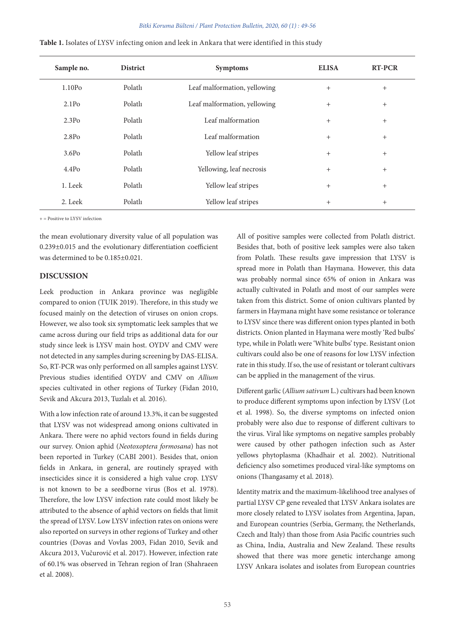| Sample no.        | <b>District</b> | <b>Symptoms</b>              | <b>ELISA</b> | <b>RT-PCR</b> |
|-------------------|-----------------|------------------------------|--------------|---------------|
| 1.10Po            | Polatlı         | Leaf malformation, yellowing | $^{+}$       | $+$           |
| 2.1P <sub>O</sub> | Polatlı         | Leaf malformation, yellowing | $^{+}$       | $+$           |
| 2.3P <sub>O</sub> | Polatlı         | Leaf malformation            | $^{+}$       | $+$           |
| 2.8P <sub>0</sub> | Polatlı         | Leaf malformation            | $^{+}$       | $+$           |
| 3.6P <sub>0</sub> | Polath          | Yellow leaf stripes          | $^{+}$       | $+$           |
| 4.4P <sub>O</sub> | Polatlı         | Yellowing, leaf necrosis     | $^{+}$       | $+$           |
| 1. Leek           | Polatlı         | Yellow leaf stripes          | $^{+}$       | $+$           |
| 2. Leek           | Polatlı         | Yellow leaf stripes          | $^{+}$       | $+$           |

| Table 1. Isolates of LYSV infecting onion and leek in Ankara that were identified in this study |  |
|-------------------------------------------------------------------------------------------------|--|
|-------------------------------------------------------------------------------------------------|--|

+ = Positive to LYSV infection

the mean evolutionary diversity value of all population was 0.239±0.015 and the evolutionary differentiation coefficient was determined to be 0.185±0.021.

# **DISCUSSION**

Leek production in Ankara province was negligible compared to onion (TUIK 2019). Therefore, in this study we focused mainly on the detection of viruses on onion crops. However, we also took six symptomatic leek samples that we came across during our field trips as additional data for our study since leek is LYSV main host. OYDV and CMV were not detected in any samples during screening by DAS-ELISA. So, RT-PCR was only performed on all samples against LYSV. Previous studies identified OYDV and CMV on *Allium* species cultivated in other regions of Turkey (Fidan 2010, Sevik and Akcura 2013, Tuzlalı et al. 2016).

With a low infection rate of around 13.3%, it can be suggested that LYSV was not widespread among onions cultivated in Ankara. There were no aphid vectors found in fields during our survey. Onion aphid (*Neotoxoptera formosana*) has not been reported in Turkey (CABI 2001). Besides that, onion fields in Ankara, in general, are routinely sprayed with insecticides since it is considered a high value crop. LYSV is not known to be a seedborne virus (Bos et al. 1978). Therefore, the low LYSV infection rate could most likely be attributed to the absence of aphid vectors on fields that limit the spread of LYSV. Low LYSV infection rates on onions were also reported on surveys in other regions of Turkey and other countries (Dovas and Vovlas 2003, Fidan 2010, Sevik and Akcura 2013, Vučurović et al. 2017). However, infection rate of 60.1% was observed in Tehran region of Iran (Shahraeen et al. 2008).

All of positive samples were collected from Polatlı district. Besides that, both of positive leek samples were also taken from Polatlı. These results gave impression that LYSV is spread more in Polatlı than Haymana. However, this data was probably normal since 65% of onion in Ankara was actually cultivated in Polatlı and most of our samples were taken from this district. Some of onion cultivars planted by farmers in Haymana might have some resistance or tolerance to LYSV since there was different onion types planted in both districts. Onion planted in Haymana were mostly 'Red bulbs' type, while in Polatlı were 'White bulbs' type. Resistant onion cultivars could also be one of reasons for low LYSV infection rate in this study. If so, the use of resistant or tolerant cultivars can be applied in the management of the virus.

Different garlic (*Allium sativum* L.) cultivars had been known to produce different symptoms upon infection by LYSV (Lot et al. 1998). So, the diverse symptoms on infected onion probably were also due to response of different cultivars to the virus. Viral like symptoms on negative samples probably were caused by other pathogen infection such as Aster yellows phytoplasma (Khadhair et al. 2002). Nutritional deficiency also sometimes produced viral-like symptoms on onions (Thangasamy et al. 2018)*.*

Identity matrix and the maximum-likelihood tree analyses of partial LYSV CP gene revealed that LYSV Ankara isolates are more closely related to LYSV isolates from Argentina, Japan, and European countries (Serbia, Germany, the Netherlands, Czech and Italy) than those from Asia Pacific countries such as China, India, Australia and New Zealand. These results showed that there was more genetic interchange among LYSV Ankara isolates and isolates from European countries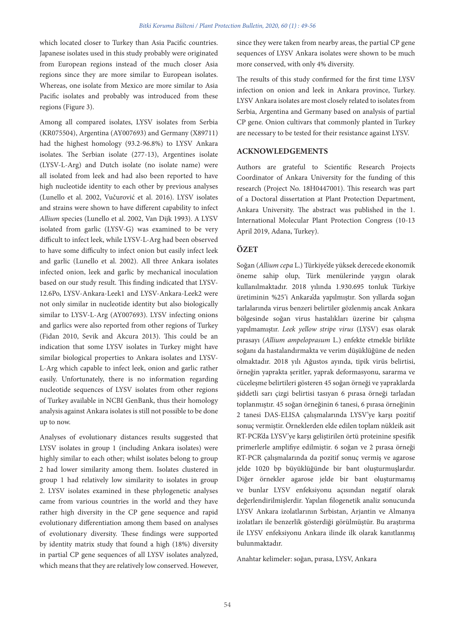which located closer to Turkey than Asia Pacific countries. Japanese isolates used in this study probably were originated from European regions instead of the much closer Asia regions since they are more similar to European isolates. Whereas, one isolate from Mexico are more similar to Asia Pacific isolates and probably was introduced from these regions (Figure 3).

Among all compared isolates, LYSV isolates from Serbia (KR075504), Argentina (AY007693) and Germany (X89711) had the highest homology (93.2-96.8%) to LYSV Ankara isolates. The Serbian isolate (277-13), Argentines isolate (LYSV-L-Arg) and Dutch isolate (no isolate name) were all isolated from leek and had also been reported to have high nucleotide identity to each other by previous analyses (Lunello et al. 2002, Vučurović et al. 2016). LYSV isolates and strains were shown to have different capability to infect *Allium* species (Lunello et al. 2002, Van Dijk 1993). A LYSV isolated from garlic (LYSV-G) was examined to be very difficult to infect leek, while LYSV-L-Arg had been observed to have some difficulty to infect onion but easily infect leek and garlic (Lunello et al. 2002). All three Ankara isolates infected onion, leek and garlic by mechanical inoculation based on our study result. This finding indicated that LYSV-12.6Po, LYSV-Ankara-Leek1 and LYSV-Ankara-Leek2 were not only similar in nucleotide identity but also biologically similar to LYSV-L-Arg (AY007693). LYSV infecting onions and garlics were also reported from other regions of Turkey (Fidan 2010, Sevik and Akcura 2013). This could be an indication that some LYSV isolates in Turkey might have similar biological properties to Ankara isolates and LYSV-L-Arg which capable to infect leek, onion and garlic rather easily. Unfortunately, there is no information regarding nucleotide sequences of LYSV isolates from other regions of Turkey available in NCBI GenBank, thus their homology analysis against Ankara isolates is still not possible to be done up to now.

Analyses of evolutionary distances results suggested that LYSV isolates in group 1 (including Ankara isolates) were highly similar to each other; whilst isolates belong to group 2 had lower similarity among them. Isolates clustered in group 1 had relatively low similarity to isolates in group 2. LYSV isolates examined in these phylogenetic analyses came from various countries in the world and they have rather high diversity in the CP gene sequence and rapid evolutionary differentiation among them based on analyses of evolutionary diversity. These findings were supported by identity matrix study that found a high (18%) diversity in partial CP gene sequences of all LYSV isolates analyzed, which means that they are relatively low conserved. However, since they were taken from nearby areas, the partial CP gene sequences of LYSV Ankara isolates were shown to be much more conserved, with only 4% diversity.

The results of this study confirmed for the first time LYSV infection on onion and leek in Ankara province, Turkey. LYSV Ankara isolates are most closely related to isolates from Serbia, Argentina and Germany based on analysis of partial CP gene. Onion cultivars that commonly planted in Turkey are necessary to be tested for their resistance against LYSV.

# **ACKNOWLEDGEMENTS**

Authors are grateful to Scientific Research Projects Coordinator of Ankara University for the funding of this research (Project No. 18H0447001). This research was part of a Doctoral dissertation at Plant Protection Department, Ankara University. The abstract was published in the 1. International Molecular Plant Protection Congress (10-13 April 2019, Adana, Turkey).

### **ÖZET**

Soğan (*Allium cepa* L.) Türkiye'de yüksek derecede ekonomik öneme sahip olup, Türk menülerinde yaygın olarak kullanılmaktadır. 2018 yılında 1.930.695 tonluk Türkiye üretiminin %25'i Ankara'da yapılmıştır. Son yıllarda soğan tarlalarında virus benzeri belirtiler gözlenmiş ancak Ankara bölgesinde soğan virus hastalıkları üzerine bir çalışma yapılmamıştır. *Leek yellow stripe virus* (LYSV) esas olarak pırasayı (*Allium ampeloprasum* L.) enfekte etmekle birlikte soğanı da hastalandırmakta ve verim düşüklüğüne de neden olmaktadır. 2018 yılı Ağustos ayında, tipik virüs belirtisi, örneğin yaprakta şeritler, yaprak deformasyonu, sararma ve cüceleşme belirtileri gösteren 45 soğan örneği ve yapraklarda şiddetli sarı çizgi belirtisi tasıyan 6 pırasa örneği tarladan toplanmıştır. 45 soğan örneğinin 6 tanesi, 6 pırasa örneğinin 2 tanesi DAS-ELISA çalışmalarında LYSV'ye karşı pozitif sonuç vermiştir. Örneklerden elde edilen toplam nükleik asit RT-PCR'da LYSV'ye karşı geliştirilen örtü proteinine spesifik primerlerle amplifiye edilmiştir. 6 soğan ve 2 pırasa örneği RT-PCR çalışmalarında da pozitif sonuç vermiş ve agarose jelde 1020 bp büyüklüğünde bir bant oluşturmuşlardır. Diğer örnekler agarose jelde bir bant oluşturmamış ve bunlar LYSV enfeksiyonu açısından negatif olarak değerlendirilmişlerdir. Yapılan filogenetik analiz sonucunda LYSV Ankara izolatlarının Sırbistan, Arjantin ve Almanya izolatları ile benzerlik gösterdiği görülmüştür. Bu araştırma ile LYSV enfeksiyonu Ankara ilinde ilk olarak kanıtlanmış bulunmaktadır.

Anahtar kelimeler: soğan, pırasa, LYSV, Ankara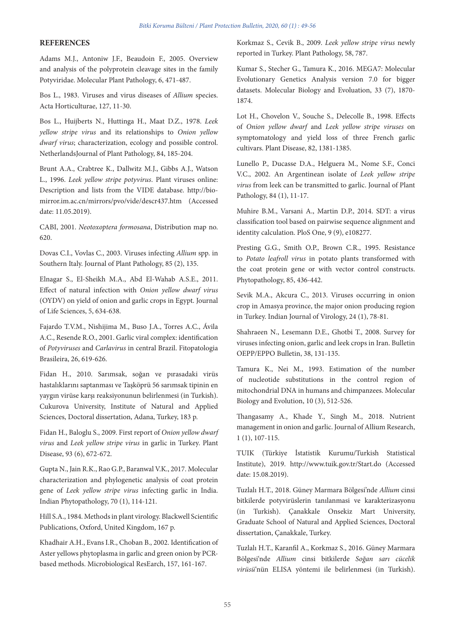# **REFERENCES**

Adams M.J., Antoniw J.F., Beaudoin F., 2005. Overview and analysis of the polyprotein cleavage sites in the family Potyviridae. Molecular Plant Pathology, 6, 471-487.

Bos L., 1983. Viruses and virus diseases of *Allium* species. Acta Horticulturae, 127, 11-30.

Bos L., Huijberts N., Huttinga H., Maat D.Z., 1978. *Leek yellow stripe virus* and its relationships to *Onion yellow dwarf virus*; characterization, ecology and possible control. NetherlandsJournal of Plant Pathology, 84, 185-204.

Brunt A.A., Crabtree K., Dallwitz M.J., Gibbs A.J., Watson L., 1996. *Leek yellow stripe potyvirus*. Plant viruses online: Description and lists from the VIDE database. http://biomirror.im.ac.cn/mirrors/pvo/vide/descr437.htm (Accessed date: 11.05.2019).

CABI, 2001. *Neotoxoptera formosana*, Distribution map no. 620.

Dovas C.I., Vovlas C., 2003. Viruses infecting *Allium* spp. in Southern Italy. Journal of Plant Pathology, 85 (2), 135.

Elnagar S., El-Sheikh M.A., Abd El-Wahab A.S.E., 2011. Effect of natural infection with *Onion yellow dwarf virus* (OYDV) on yield of onion and garlic crops in Egypt. Journal of Life Sciences, 5, 634-638.

Fajardo T.V.M., Nishijima M., Buso J.A., Torres A.C., Ávila A.C., Resende R.O., 2001. Garlic viral complex: identification of *Potyviruses* and *Carlavirus* in central Brazil. Fitopatologia Brasileira, 26, 619-626.

Fidan H., 2010. Sarımsak, soğan ve pırasadaki virüs hastalıklarını saptanması ve Taşköprü 56 sarımsak tipinin en yaygın virüse karşı reaksiyonunun belirlenmesi (in Turkish). Cukurova University, Institute of Natural and Applied Sciences, Doctoral dissertation, Adana, Turkey, 183 p.

Fidan H., Baloglu S., 2009. First report of *Onion yellow dwarf virus* and *Leek yellow stripe virus* in garlic in Turkey. Plant Disease, 93 (6), 672-672.

Gupta N., Jain R.K., Rao G.P., Baranwal V.K., 2017. Molecular characterization and phylogenetic analysis of coat protein gene of *Leek yellow stripe virus* infecting garlic in India. Indian Phytopathology, 70 (1), 114-121.

Hill S.A., 1984. Methods in plant virology. Blackwell Scientific Publications, Oxford, United Kingdom, 167 p.

Khadhair A.H., Evans I.R., Choban B., 2002. Identification of Aster yellows phytoplasma in garlic and green onion by PCRbased methods. Microbiological ResEarch, 157, 161-167.

Korkmaz S., Cevik B., 2009. *Leek yellow stripe virus* newly reported in Turkey. Plant Pathology, 58, 787.

Kumar S., Stecher G., Tamura K., 2016. MEGA7: Molecular Evolutionary Genetics Analysis version 7.0 for bigger datasets. Molecular Biology and Evoluation, 33 (7), 1870- 1874.

Lot H., Chovelon V., Souche S., Delecolle B., 1998. Effects of *Onion yellow dwarf* and *Leek yellow stripe viruses* on symptomatology and yield loss of three French garlic cultivars. Plant Disease, 82, 1381-1385.

Lunello P., Ducasse D.A., Helguera M., Nome S.F., Conci V.C., 2002. An Argentinean isolate of *Leek yellow stripe virus* from leek can be transmitted to garlic. Journal of Plant Pathology, 84 (1), 11-17.

Muhire B.M., Varsani A., Martin D.P., 2014. SDT: a virus classification tool based on pairwise sequence alignment and identity calculation. PloS One, 9 (9), e108277.

Presting G.G., Smith O.P., Brown C.R., 1995. Resistance to *Potato leafroll virus* in potato plants transformed with the coat protein gene or with vector control constructs. Phytopathology, 85, 436-442.

Sevik M.A., Akcura C., 2013. Viruses occurring in onion crop in Amasya province, the major onion producing region in Turkey. Indian Journal of Virology, 24 (1), 78-81.

Shahraeen N., Lesemann D.E., Ghotbi T., 2008. Survey for viruses infecting onion, garlic and leek crops in Iran. Bulletin OEPP/EPPO Bulletin, 38, 131-135.

Tamura K., Nei M., 1993. Estimation of the number of nucleotide substitutions in the control region of mitochondrial DNA in humans and chimpanzees. Molecular Biology and Evolution, 10 (3), 512-526.

Thangasamy A., Khade Y., Singh M., 2018. Nutrient management in onion and garlic. Journal of Allium Research, 1 (1), 107-115.

TUIK (Türkiye İstatistik Kurumu/Turkish Statistical Institute), 2019. http://www.tuik.gov.tr/Start.do (Accessed date: 15.08.2019).

Tuzlalı H.T., 2018. Güney Marmara Bölgesi'nde *Allium* cinsi bitkilerde potyvirüslerin tanılanmasi ve karakterizasyonu (in Turkish). Çanakkale Onsekiz Mart University, Graduate School of Natural and Applied Sciences, Doctoral dissertation, Çanakkale, Turkey.

Tuzlalı H.T., Karanfil A., Korkmaz S., 2016. Güney Marmara Bölgesi'nde *Allium* cinsi bitkilerde *Soğan sarı cücelik virüsü*'nün ELISA yöntemi ile belirlenmesi (in Turkish).